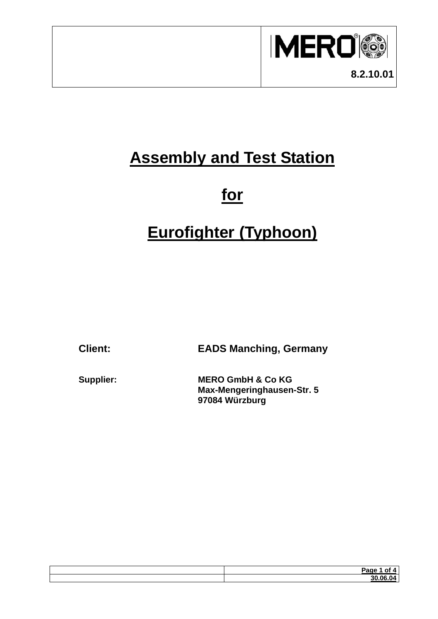

# **Assembly and Test Station**

## **for**

# **Eurofighter (Typhoon)**

**Client: EADS Manching, Germany**

**MERO GmbH & Co KG Max-Mengeringhausen-Str. 5 97084 Würzburg** 

| Page |
|------|
|      |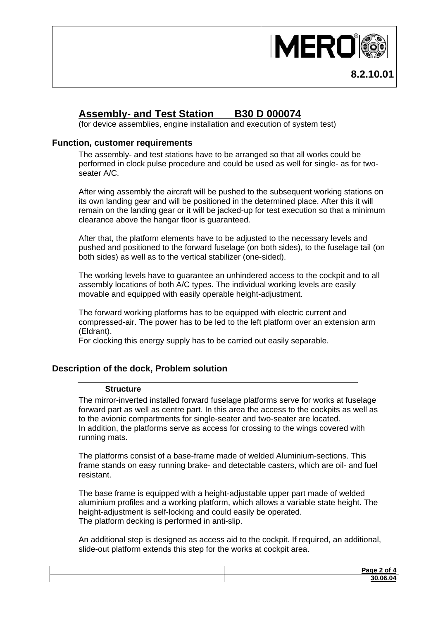

### **Assembly- and Test Station B30 D 000074**

(for device assemblies, engine installation and execution of system test)

#### **Function, customer requirements**

The assembly- and test stations have to be arranged so that all works could be performed in clock pulse procedure and could be used as well for single- as for twoseater A/C.

After wing assembly the aircraft will be pushed to the subsequent working stations on its own landing gear and will be positioned in the determined place. After this it will remain on the landing gear or it will be jacked-up for test execution so that a minimum clearance above the hangar floor is guaranteed.

After that, the platform elements have to be adjusted to the necessary levels and pushed and positioned to the forward fuselage (on both sides), to the fuselage tail (on both sides) as well as to the vertical stabilizer (one-sided).

The working levels have to guarantee an unhindered access to the cockpit and to all assembly locations of both A/C types. The individual working levels are easily movable and equipped with easily operable height-adjustment.

The forward working platforms has to be equipped with electric current and compressed-air. The power has to be led to the left platform over an extension arm (Eldrant).

For clocking this energy supply has to be carried out easily separable.

#### **Description of the dock, Problem solution**

#### **Structure**

The mirror-inverted installed forward fuselage platforms serve for works at fuselage forward part as well as centre part. In this area the access to the cockpits as well as to the avionic compartments for single-seater and two-seater are located. In addition, the platforms serve as access for crossing to the wings covered with running mats.

The platforms consist of a base-frame made of welded Aluminium-sections. This frame stands on easy running brake- and detectable casters, which are oil- and fuel resistant.

The base frame is equipped with a height-adjustable upper part made of welded aluminium profiles and a working platform, which allows a variable state height. The height-adjustment is self-locking and could easily be operated. The platform decking is performed in anti-slip.

An additional step is designed as access aid to the cockpit. If required, an additional, slide-out platform extends this step for the works at cockpit area.

| <b>Dome</b><br>-raor<br>$\mathbf{H}$<br>$-99$ |
|-----------------------------------------------|
| 000000<br>.O4                                 |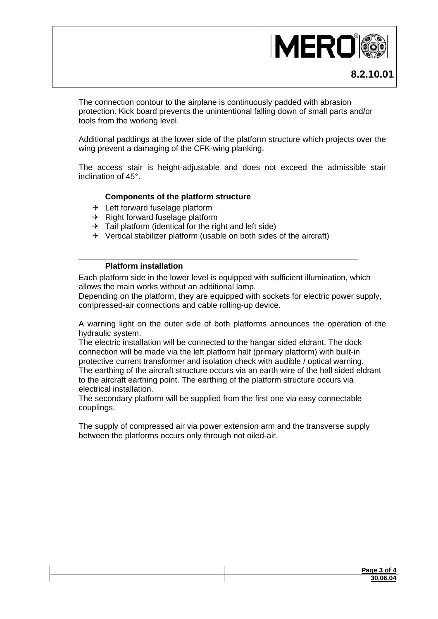

The connection contour to the airplane is continuously padded with abrasion protection. Kick board prevents the unintentional falling down of small parts and/or tools from the working level.

Additional paddings at the lower side of the platform structure which projects over the wing prevent a damaging of the CFK-wing planking.

The access stair is height-adjustable and does not exceed the admissible stair inclination of 45°.

#### **Components of the platform structure**

- $\rightarrow$  Left forward fuselage platform
- $\rightarrow$  Right forward fuselage platform
- $\rightarrow$  Tail platform (identical for the right and left side)
- $\rightarrow$  Vertical stabilizer platform (usable on both sides of the aircraft)

#### **Platform installation**

Each platform side in the lower level is equipped with sufficient illumination, which allows the main works without an additional lamp.

Depending on the platform, they are equipped with sockets for electric power supply, compressed-air connections and cable rolling-up device.

A warning light on the outer side of both platforms announces the operation of the hydraulic system.

The electric installation will be connected to the hangar sided eldrant. The dock connection will be made via the left platform half (primary platform) with built-in protective current transformer and isolation check with audible / optical warning. The earthing of the aircraft structure occurs via an earth wire of the hall sided eldrant to the aircraft earthing point. The earthing of the platform structure occurs via electrical installation.

The secondary platform will be supplied from the first one via easy connectable couplings.

The supply of compressed air via power extension arm and the transverse supply between the platforms occurs only through not oiled-air.

| Page                                 |
|--------------------------------------|
| $\sim$ $\sim$ $\sim$<br>$\sim$<br>00 |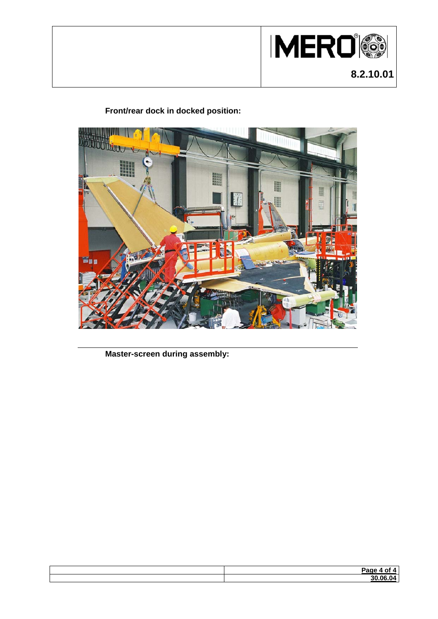

### **Front/rear dock in docked position:**



**Master-screen during assembly:**

| Page        |
|-------------|
| 20.0C<br>., |